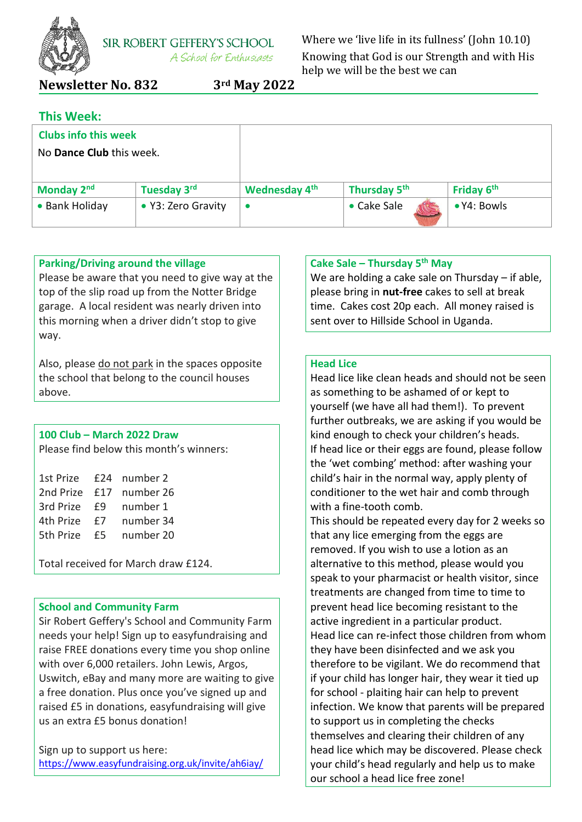

**SIR ROBERT GEFFERY'S SCHOOL** A School for Enthusiasts

Where we 'live life in its fullness' (John 10.10) Knowing that God is our Strength and with His help we will be the best we can

## **Newsletter No. 832 3rd May 2022**

| <b>This Week:</b>               |                    |                      |                          |             |  |
|---------------------------------|--------------------|----------------------|--------------------------|-------------|--|
| <b>Clubs info this week</b>     |                    |                      |                          |             |  |
| No <b>Dance Club</b> this week. |                    |                      |                          |             |  |
|                                 |                    |                      |                          |             |  |
| Monday 2nd                      | Tuesday 3rd        | <b>Wednesday 4th</b> | Thursday 5 <sup>th</sup> | Friday 6th  |  |
| • Bank Holiday                  | • Y3: Zero Gravity |                      | • Cake Sale              | • Y4: Bowls |  |

## **Parking/Driving around the village**

Please be aware that you need to give way at the top of the slip road up from the Notter Bridge garage. A local resident was nearly driven into this morning when a driver didn't stop to give way.

Also, please do not park in the spaces opposite the school that belong to the council houses above.

## **100 Club – March 2022 Draw**

Please find below this month's winners:

|      | £24 number 2            |
|------|-------------------------|
|      | 2nd Prize £17 number 26 |
| - F9 | number 1                |
| f7   | number 34               |
| f5.  | number 20               |
|      |                         |

Total received for March draw £124.

#### **School and Community Farm**

Sir Robert Geffery's School and Community Farm needs your help! Sign up to easyfundraising and raise FREE donations every time you shop online with over 6,000 retailers. John Lewis, Argos, Uswitch, eBay and many more are waiting to give a free donation. Plus once you've signed up and raised £5 in donations, easyfundraising will give us an extra £5 bonus donation!

Sign up to support us here: <https://www.easyfundraising.org.uk/invite/ah6iay/>

## **Cake Sale – Thursday 5 th May**

We are holding a cake sale on Thursday – if able, please bring in **nut-free** cakes to sell at break time. Cakes cost 20p each. All money raised is sent over to Hillside School in Uganda.

### **Head Lice**

Head lice like clean heads and should not be seen as something to be ashamed of or kept to yourself (we have all had them!). To prevent further outbreaks, we are asking if you would be kind enough to check your children's heads. If head lice or their eggs are found, please follow the 'wet combing' method: after washing your child's hair in the normal way, apply plenty of conditioner to the wet hair and comb through with a fine-tooth comb.

This should be repeated every day for 2 weeks so that any lice emerging from the eggs are removed. If you wish to use a lotion as an alternative to this method, please would you speak to your pharmacist or health visitor, since treatments are changed from time to time to prevent head lice becoming resistant to the active ingredient in a particular product. Head lice can re-infect those children from whom they have been disinfected and we ask you therefore to be vigilant. We do recommend that if your child has longer hair, they wear it tied up for school - plaiting hair can help to prevent infection. We know that parents will be prepared to support us in completing the checks themselves and clearing their children of any head lice which may be discovered. Please check your child's head regularly and help us to make our school a head lice free zone!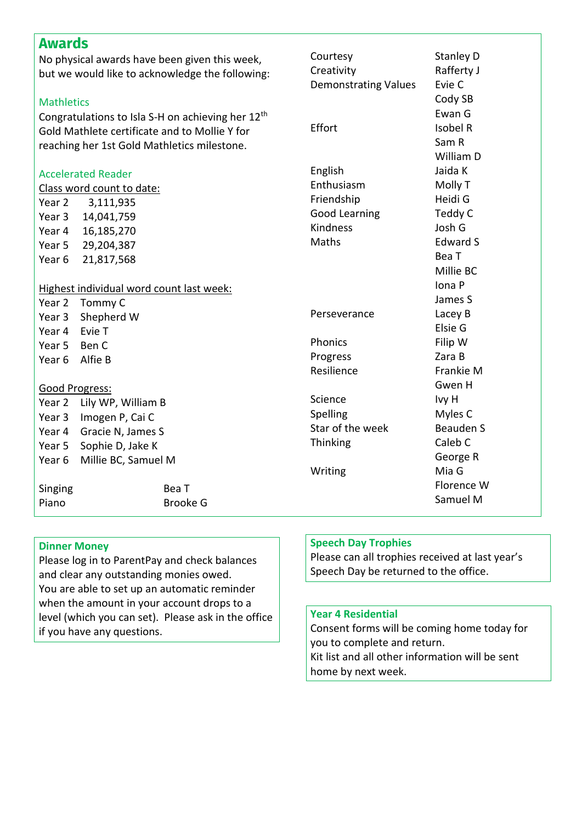| <b>Awards</b>                                   |                                                               |                             |                  |
|-------------------------------------------------|---------------------------------------------------------------|-----------------------------|------------------|
| No physical awards have been given this week,   |                                                               | Courtesy                    | <b>Stanley D</b> |
| but we would like to acknowledge the following: |                                                               | Creativity                  | Rafferty J       |
|                                                 |                                                               | <b>Demonstrating Values</b> | Evie C           |
| <b>Mathletics</b>                               |                                                               |                             | Cody SB          |
|                                                 | Congratulations to Isla S-H on achieving her 12 <sup>th</sup> |                             | Ewan G           |
|                                                 | Gold Mathlete certificate and to Mollie Y for                 | Effort                      | Isobel R         |
| reaching her 1st Gold Mathletics milestone.     |                                                               |                             | Sam R            |
|                                                 |                                                               |                             | William D        |
|                                                 | <b>Accelerated Reader</b>                                     | English                     | Jaida K          |
|                                                 | Class word count to date:                                     | Enthusiasm                  | Molly T          |
| Year 2                                          | 3,111,935                                                     | Friendship                  | Heidi G          |
| Year 3                                          | 14,041,759                                                    | Good Learning               | Teddy C          |
| Year 4                                          | 16,185,270                                                    | Kindness                    | Josh G           |
| Year 5                                          | 29,204,387                                                    | Maths                       | <b>Edward S</b>  |
| Year 6                                          | 21,817,568                                                    |                             | Bea T            |
|                                                 |                                                               |                             | Millie BC        |
|                                                 | Highest individual word count last week:                      |                             | Iona P           |
| Year 2                                          | Tommy C                                                       |                             | James S          |
| Year 3                                          | Shepherd W                                                    | Perseverance                | Lacey B          |
| Year 4                                          | Evie T                                                        |                             | Elsie G          |
| Year 5                                          | Ben C                                                         | Phonics                     | Filip W          |
| Year <sub>6</sub>                               | Alfie B                                                       | Progress                    | Zara B           |
|                                                 |                                                               | Resilience                  | Frankie M        |
| Good Progress:                                  |                                                               |                             | Gwen H           |
| Year 2                                          | Lily WP, William B                                            | Science                     | Ivy H            |
| Year 3                                          | Imogen P, Cai C                                               | Spelling                    | Myles C          |
| Year 4                                          | Gracie N, James S                                             | Star of the week            | <b>Beauden S</b> |
| Year 5                                          | Sophie D, Jake K                                              | Thinking                    | Caleb C          |
| Year 6                                          | Millie BC, Samuel M                                           |                             | George R         |
|                                                 |                                                               | Writing                     | Mia G            |
| Singing                                         | Bea T                                                         |                             | Florence W       |
| Piano                                           | <b>Brooke G</b>                                               |                             | Samuel M         |

## **Dinner Money**

Please log in to ParentPay and check balances and clear any outstanding monies owed. You are able to set up an automatic reminder when the amount in your account drops to a level (which you can set). Please ask in the office if you have any questions.

#### **Speech Day Trophies**

Please can all trophies received at last year's Speech Day be returned to the office.

### **Year 4 Residential**

Consent forms will be coming home today for you to complete and return. Kit list and all other information will be sent home by next week.